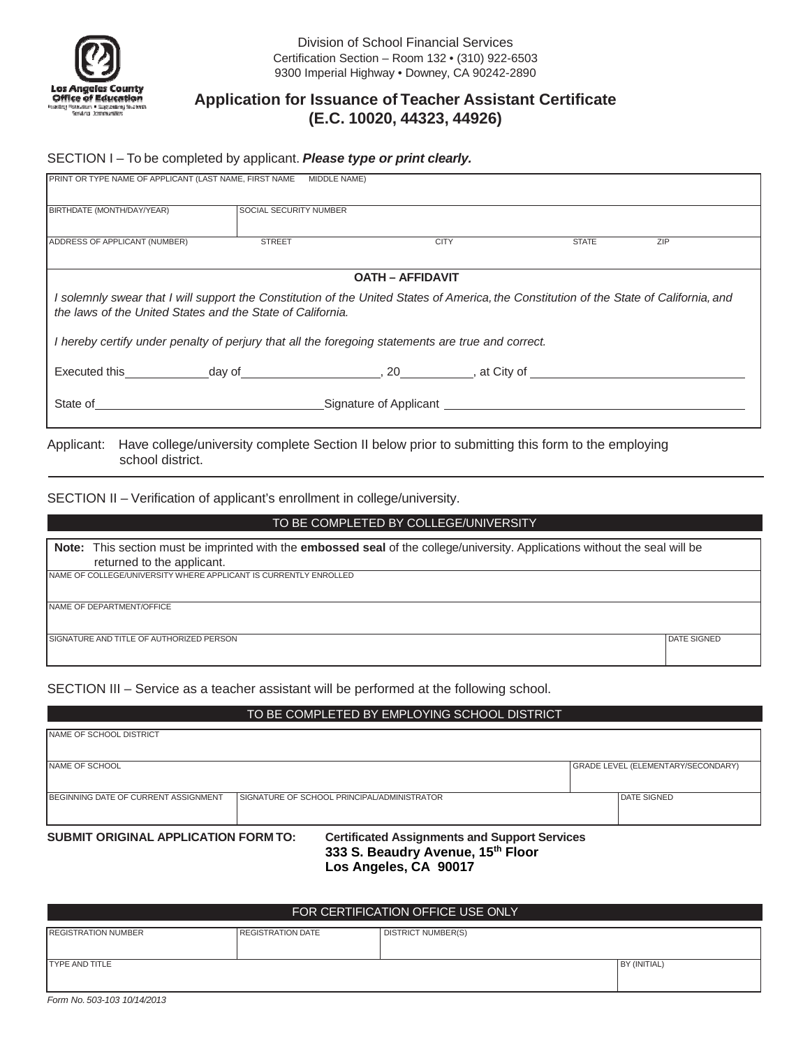

# **Application for Issuance of Teacher Assistant Certificate (E.C. 10020, 44323, 44926)**

## SECTION I – To be completed by applicant. *Please type or print clearly.*

| BIRTHDATE (MONTH/DAY/YEAR)                                                                                                                                      | <b>SOCIAL SECURITY NUMBER</b> |                         |              |     |
|-----------------------------------------------------------------------------------------------------------------------------------------------------------------|-------------------------------|-------------------------|--------------|-----|
| ADDRESS OF APPLICANT (NUMBER)                                                                                                                                   | <b>STREET</b>                 | <b>CITY</b>             | <b>STATE</b> | ZIP |
|                                                                                                                                                                 |                               | <b>OATH - AFFIDAVIT</b> |              |     |
| I solemnly swear that I will support the Constitution of the United States of America, the Constitution of the State of California, and                         |                               |                         |              |     |
|                                                                                                                                                                 |                               |                         |              |     |
|                                                                                                                                                                 |                               |                         |              |     |
| the laws of the United States and the State of California.<br>I hereby certify under penalty of perjury that all the foregoing statements are true and correct. |                               |                         |              |     |

SECTION II – Verification of applicant's enrollment in college/university.

# **Note:** This section must be imprinted with the **embossed seal** of the college/university. Applications without the seal will be returned to the applicant. NAME OF COLLEGE/UNIVERSITY WHERE APPLICANT IS CURRENTLY ENROLLED NAME OF DEPARTMENT/OFFICE SIGNATURE AND TITLE OF AUTHORIZED PERSON **Example 2008** CONDUCT A SIGNED AND SIGNED AT EXIGNED AT EXIGNED AND SIGNED TO BE COMPLETED BY COLLEGE/UNIVERSITY

SECTION III – Service as a teacher assistant will be performed at the following school.

## TO BE COMPLETED BY EMPLOYING SCHOOL DISTRICT

| <b>NAME OF SCHOOL DISTRICT</b>       |                                                                                           |                                    |
|--------------------------------------|-------------------------------------------------------------------------------------------|------------------------------------|
| NAME OF SCHOOL                       |                                                                                           | GRADE LEVEL (ELEMENTARY/SECONDARY) |
| BEGINNING DATE OF CURRENT ASSIGNMENT | SIGNATURE OF SCHOOL PRINCIPAL/ADMINISTRATOR                                               | <b>DATE SIGNED</b>                 |
| SUBMIT ORIGINAL APPLICATION FORM TO: | <b>Certificated Assignments and Support Services</b><br>333 S. Beaudry Avenue, 15th Floor |                                    |

 **Los Angeles, CA 90017** 

| FOR CERTIFICATION OFFICE USE ONLY |                          |                           |              |  |  |  |
|-----------------------------------|--------------------------|---------------------------|--------------|--|--|--|
| <b>REGISTRATION NUMBER</b>        | <b>REGISTRATION DATE</b> | <b>DISTRICT NUMBER(S)</b> |              |  |  |  |
| <b>TYPE AND TITLE</b>             |                          |                           | BY (INITIAL) |  |  |  |